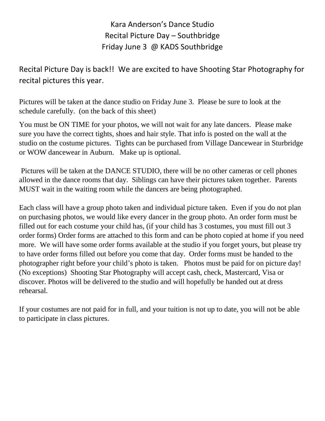Kara Anderson's Dance Studio Recital Picture Day – Southbridge Friday June 3 @ KADS Southbridge

Recital Picture Day is back!! We are excited to have Shooting Star Photography for recital pictures this year.

Pictures will be taken at the dance studio on Friday June 3. Please be sure to look at the schedule carefully. (on the back of this sheet)

You must be ON TIME for your photos, we will not wait for any late dancers. Please make sure you have the correct tights, shoes and hair style. That info is posted on the wall at the studio on the costume pictures. Tights can be purchased from Village Dancewear in Sturbridge or WOW dancewear in Auburn. Make up is optional.

Pictures will be taken at the DANCE STUDIO, there will be no other cameras or cell phones allowed in the dance rooms that day. Siblings can have their pictures taken together. Parents MUST wait in the waiting room while the dancers are being photographed.

Each class will have a group photo taken and individual picture taken. Even if you do not plan on purchasing photos, we would like every dancer in the group photo. An order form must be filled out for each costume your child has, (if your child has 3 costumes, you must fill out 3 order forms) Order forms are attached to this form and can be photo copied at home if you need more. We will have some order forms available at the studio if you forget yours, but please try to have order forms filled out before you come that day. Order forms must be handed to the photographer right before your child's photo is taken. Photos must be paid for on picture day! (No exceptions) Shooting Star Photography will accept cash, check, Mastercard, Visa or discover. Photos will be delivered to the studio and will hopefully be handed out at dress rehearsal.

If your costumes are not paid for in full, and your tuition is not up to date, you will not be able to participate in class pictures.